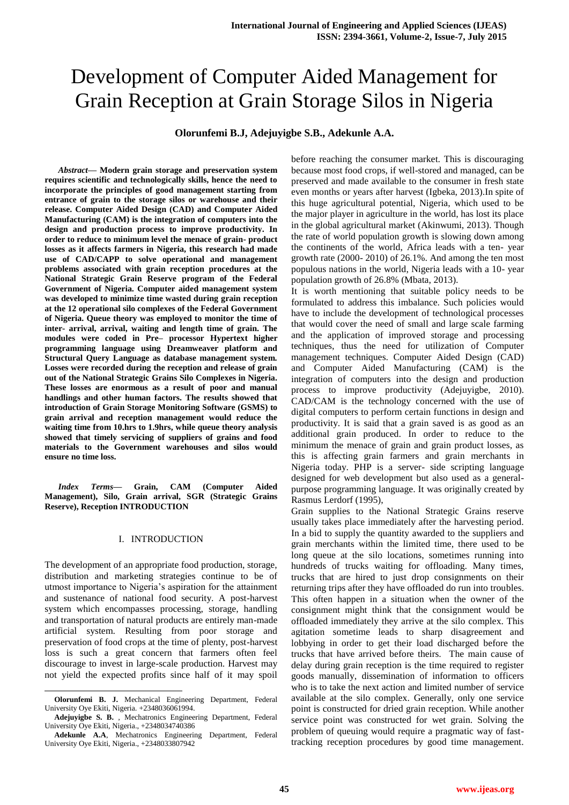# Development of Computer Aided Management for Grain Reception at Grain Storage Silos in Nigeria

**Olorunfemi B.J, Adejuyigbe S.B., Adekunle A.A.**

*Abstract***— Modern grain storage and preservation system requires scientific and technologically skills, hence the need to incorporate the principles of good management starting from entrance of grain to the storage silos or warehouse and their release. Computer Aided Design (CAD) and Computer Aided Manufacturing (CAM) is the integration of computers into the design and production process to improve productivity. In order to reduce to minimum level the menace of grain- product losses as it affects farmers in Nigeria, this research had made use of CAD/CAPP to solve operational and management problems associated with grain reception procedures at the National Strategic Grain Reserve program of the Federal Government of Nigeria. Computer aided management system was developed to minimize time wasted during grain reception at the 12 operational silo complexes of the Federal Government of Nigeria. Queue theory was employed to monitor the time of inter- arrival, arrival, waiting and length time of grain. The modules were coded in Pre– processor Hypertext higher programming language using Dreamweaver platform and Structural Query Language as database management system. Losses were recorded during the reception and release of grain out of the National Strategic Grains Silo Complexes in Nigeria. These losses are enormous as a result of poor and manual handlings and other human factors. The results showed that introduction of Grain Storage Monitoring Software (GSMS) to grain arrival and reception management would reduce the waiting time from 10.hrs to 1.9hrs, while queue theory analysis showed that timely servicing of suppliers of grains and food materials to the Government warehouses and silos would ensure no time loss.**

*Index Terms***— Grain, CAM (Computer Aided Management), Silo, Grain arrival, SGR (Strategic Grains Reserve), Reception INTRODUCTION**

## I. INTRODUCTION

The development of an appropriate food production, storage, distribution and marketing strategies continue to be of utmost importance to Nigeria"s aspiration for the attainment and sustenance of national food security. A post-harvest system which encompasses processing, storage, handling and transportation of natural products are entirely man-made artificial system. Resulting from poor storage and preservation of food crops at the time of plenty, post-harvest loss is such a great concern that farmers often feel discourage to invest in large-scale production. Harvest may not yield the expected profits since half of it may spoil

l

before reaching the consumer market. This is discouraging because most food crops, if well-stored and managed, can be preserved and made available to the consumer in fresh state even months or years after harvest (Igbeka, 2013).In spite of this huge agricultural potential, Nigeria, which used to be the major player in agriculture in the world, has lost its place in the global agricultural market (Akinwumi, 2013). Though the rate of world population growth is slowing down among the continents of the world, Africa leads with a ten- year growth rate (2000- 2010) of 26.1%. And among the ten most populous nations in the world, Nigeria leads with a 10- year population growth of 26.8% (Mbata, 2013).

It is worth mentioning that suitable policy needs to be formulated to address this imbalance. Such policies would have to include the development of technological processes that would cover the need of small and large scale farming and the application of improved storage and processing techniques, thus the need for utilization of Computer management techniques. Computer Aided Design (CAD) and Computer Aided Manufacturing (CAM) is the integration of computers into the design and production process to improve productivity (Adejuyigbe, 2010). CAD/CAM is the technology concerned with the use of digital computers to perform certain functions in design and productivity. It is said that a grain saved is as good as an additional grain produced. In order to reduce to the minimum the menace of grain and grain product losses, as this is affecting grain farmers and grain merchants in Nigeria today. PHP is a server- side scripting language designed for web development but also used as a generalpurpose programming language. It was originally created by Rasmus Lerdorf (1995),

Grain supplies to the National Strategic Grains reserve usually takes place immediately after the harvesting period. In a bid to supply the quantity awarded to the suppliers and grain merchants within the limited time, there used to be long queue at the silo locations, sometimes running into hundreds of trucks waiting for offloading. Many times, trucks that are hired to just drop consignments on their returning trips after they have offloaded do run into troubles. This often happen in a situation when the owner of the consignment might think that the consignment would be offloaded immediately they arrive at the silo complex. This agitation sometime leads to sharp disagreement and lobbying in order to get their load discharged before the trucks that have arrived before theirs. The main cause of delay during grain reception is the time required to register goods manually, dissemination of information to officers who is to take the next action and limited number of service available at the silo complex. Generally, only one service point is constructed for dried grain reception. While another service point was constructed for wet grain. Solving the problem of queuing would require a pragmatic way of fasttracking reception procedures by good time management.

**Olorunfemi B. J.** Mechanical Engineering Department, Federal University Oye Ekiti, Nigeria. +2348036061994.

**Adejuyigbe S. B.** , Mechatronics Engineering Department, Federal University Oye Ekiti, Nigeria., +2348034740386

**Adekunle A.A**, Mechatronics Engineering Department, Federal University Oye Ekiti, Nigeria., +2348033807942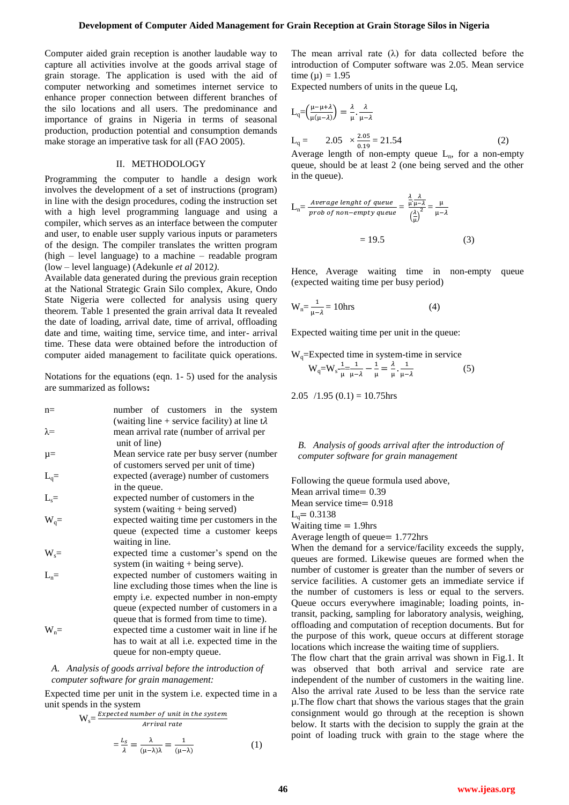Computer aided grain reception is another laudable way to capture all activities involve at the goods arrival stage of grain storage. The application is used with the aid of computer networking and sometimes internet service to enhance proper connection between different branches of the silo locations and all users. The predominance and importance of grains in Nigeria in terms of seasonal production, production potential and consumption demands make storage an imperative task for all (FAO 2005).

#### II. METHODOLOGY

Programming the computer to handle a design work involves the development of a set of instructions (program) in line with the design procedures, coding the instruction set with a high level programming language and using a compiler, which serves as an interface between the computer and user, to enable user supply various inputs or parameters of the design. The compiler translates the written program (high – level language) to a machine – readable program (low – level language) (Adekunle *et al* 2012*)*.

Available data generated during the previous grain reception at the National Strategic Grain Silo complex, Akure, Ondo State Nigeria were collected for analysis using query theorem. Table 1 presented the grain arrival data It revealed the date of loading, arrival date, time of arrival, offloading date and time, waiting time, service time, and inter- arrival time. These data were obtained before the introduction of computer aided management to facilitate quick operations.

Notations for the equations (eqn. 1- 5) used for the analysis are summarized as follows**:**

| $n =$                                          | number of customers in the system                                                  |  |  |  |  |  |  |  |
|------------------------------------------------|------------------------------------------------------------------------------------|--|--|--|--|--|--|--|
|                                                | (waiting line + service facility) at line $t\lambda$                               |  |  |  |  |  |  |  |
| $\lambda =$                                    | mean arrival rate (number of arrival per                                           |  |  |  |  |  |  |  |
|                                                | unit of line)                                                                      |  |  |  |  |  |  |  |
| $\mu =$                                        | Mean service rate per busy server (number<br>of customers served per unit of time) |  |  |  |  |  |  |  |
|                                                |                                                                                    |  |  |  |  |  |  |  |
| $\begin{aligned} L_q = \\ L_s = \end{aligned}$ | expected (average) number of customers                                             |  |  |  |  |  |  |  |
|                                                | in the queue.                                                                      |  |  |  |  |  |  |  |
|                                                | expected number of customers in the                                                |  |  |  |  |  |  |  |
|                                                | system (waiting + being served)                                                    |  |  |  |  |  |  |  |
| $W_q=$                                         | expected waiting time per customers in the                                         |  |  |  |  |  |  |  |
|                                                | queue (expected time a customer keeps                                              |  |  |  |  |  |  |  |
|                                                | waiting in line.                                                                   |  |  |  |  |  |  |  |
| $W_s =$                                        | expected time a customer's spend on the                                            |  |  |  |  |  |  |  |
|                                                | system (in waiting $+$ being serve).                                               |  |  |  |  |  |  |  |
| $L_n =$                                        | expected number of customers waiting in                                            |  |  |  |  |  |  |  |
|                                                | line excluding those times when the line is                                        |  |  |  |  |  |  |  |
|                                                | empty i.e. expected number in non-empty                                            |  |  |  |  |  |  |  |
|                                                | queue (expected number of customers in a                                           |  |  |  |  |  |  |  |
|                                                | queue that is formed from time to time).                                           |  |  |  |  |  |  |  |
| $W_n =$                                        | expected time a customer wait in line if he                                        |  |  |  |  |  |  |  |
|                                                | has to wait at all i.e. expected time in the                                       |  |  |  |  |  |  |  |
|                                                | queue for non-empty queue.                                                         |  |  |  |  |  |  |  |
|                                                |                                                                                    |  |  |  |  |  |  |  |

*A. Analysis of goods arrival before the introduction of computer software for grain management:*

Expected time per unit in the system i.e. expected time in a unit spends in the system

$$
W_s = \frac{Expected \ number \ of \ unit \ in \ the \ system}{Arrival \ rate}
$$

$$
= \frac{L_s}{\lambda} = \frac{\lambda}{(\mu - \lambda)\lambda} = \frac{1}{(\mu - \lambda)}\tag{1}
$$

The mean arrival rate  $(\lambda)$  for data collected before the introduction of Computer software was 2.05. Mean service time ( $\mu$ ) = 1.95

Expected numbers of units in the queue Lq,

$$
L_q = \left(\frac{\mu - \mu + \lambda}{\mu(\mu - \lambda)}\right) = \frac{\lambda}{\mu} \cdot \frac{\lambda}{\mu - \lambda}
$$
  
\n
$$
L_q = 2.05 \times \frac{2.05}{0.19} = 21.54
$$
 (2)

Average length of non-empty queue  $L_n$ , for a non-empty queue, should be at least 2 (one being served and the other in the queue).

$$
L_{n} = \frac{Average \ length \ of \ queue}{prob \ of \ non-empty \ queue} = \frac{\frac{\lambda}{\mu} \frac{\lambda}{\mu - \lambda}}{\left(\frac{\lambda}{\mu}\right)^{2}} = \frac{\mu}{\mu - \lambda}
$$

$$
= 19.5 \tag{3}
$$

Hence, Average waiting time in non-empty queue (expected waiting time per busy period)

$$
W_n = \frac{1}{\mu - \lambda} = 10 \text{hrs}
$$
 (4)

Expected waiting time per unit in the queue:

$$
W_q = \text{Expected time in system-time in service}
$$
  
\n
$$
W_q = W_s - \frac{1}{\mu} - \frac{1}{\mu} = \frac{\lambda}{\mu} \cdot \frac{1}{\mu - \lambda}
$$
 (5)

2.05  $/1.95(0.1) = 10.75$ hrs

*B. Analysis of goods arrival after the introduction of computer software for grain management*

Following the queue formula used above, Mean arrival time  $= 0.39$ Mean service time  $= 0.918$  $L<sub>q</sub> = 0.3138$ Waiting time  $= 1.9$ hrs Average length of queue  $= 1.772$ hrs

When the demand for a service/facility exceeds the supply, queues are formed. Likewise queues are formed when the number of customer is greater than the number of severs or service facilities. A customer gets an immediate service if the number of customers is less or equal to the servers. Queue occurs everywhere imaginable; loading points, intransit, packing, sampling for laboratory analysis, weighing, offloading and computation of reception documents. But for the purpose of this work, queue occurs at different storage locations which increase the waiting time of suppliers.

The flow chart that the grain arrival was shown in Fig.1. It was observed that both arrival and service rate are independent of the number of customers in the waiting line. Also the arrival rate  $\lambda$ used to be less than the service rate µ.The flow chart that shows the various stages that the grain consignment would go through at the reception is shown below. It starts with the decision to supply the grain at the point of loading truck with grain to the stage where the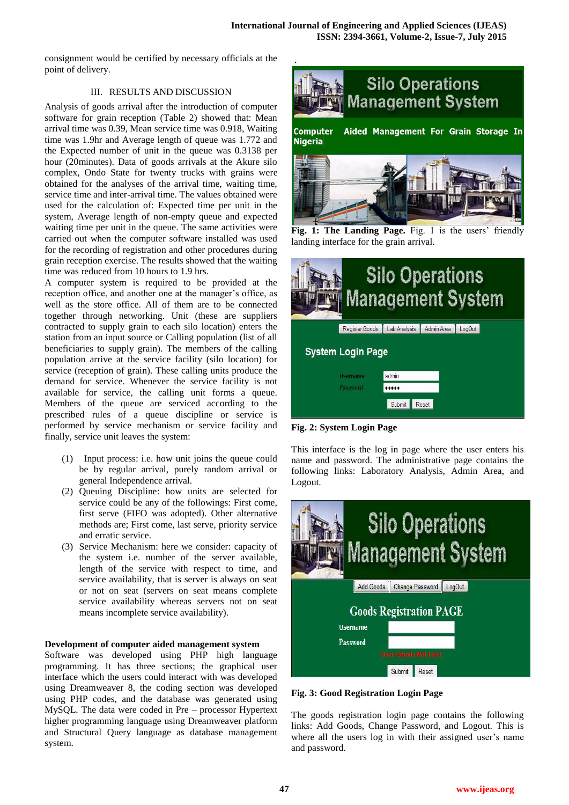.

consignment would be certified by necessary officials at the point of delivery.

## III. RESULTS AND DISCUSSION

Analysis of goods arrival after the introduction of computer software for grain reception (Table 2) showed that: Mean arrival time was 0.39, Mean service time was 0.918, Waiting time was 1.9hr and Average length of queue was 1.772 and the Expected number of unit in the queue was 0.3138 per hour (20minutes). Data of goods arrivals at the Akure silo complex, Ondo State for twenty trucks with grains were obtained for the analyses of the arrival time, waiting time, service time and inter-arrival time. The values obtained were used for the calculation of: Expected time per unit in the system, Average length of non-empty queue and expected waiting time per unit in the queue. The same activities were carried out when the computer software installed was used for the recording of registration and other procedures during grain reception exercise. The results showed that the waiting time was reduced from 10 hours to 1.9 hrs.

A computer system is required to be provided at the reception office, and another one at the manager's office, as well as the store office. All of them are to be connected together through networking. Unit (these are suppliers contracted to supply grain to each silo location) enters the station from an input source or Calling population (list of all beneficiaries to supply grain). The members of the calling population arrive at the service facility (silo location) for service (reception of grain). These calling units produce the demand for service. Whenever the service facility is not available for service, the calling unit forms a queue. Members of the queue are serviced according to the prescribed rules of a queue discipline or service is performed by service mechanism or service facility and finally, service unit leaves the system:

- (1) Input process: i.e. how unit joins the queue could be by regular arrival, purely random arrival or general Independence arrival.
- (2) Queuing Discipline: how units are selected for service could be any of the followings: First come, first serve (FIFO was adopted). Other alternative methods are; First come, last serve, priority service and erratic service.
- (3) Service Mechanism: here we consider: capacity of the system i.e. number of the server available, length of the service with respect to time, and service availability, that is server is always on seat or not on seat (servers on seat means complete service availability whereas servers not on seat means incomplete service availability).

## **Development of computer aided management system**

Software was developed using PHP high language programming. It has three sections; the graphical user interface which the users could interact with was developed using Dreamweaver 8, the coding section was developed using PHP codes, and the database was generated using MySQL. The data were coded in Pre – processor Hypertext higher programming language using Dreamweaver platform and Structural Query language as database management system.



Fig. 1: The Landing Page. Fig. 1 is the users' friendly landing interface for the grain arrival.



**Fig. 2: System Login Page**

This interface is the log in page where the user enters his name and password. The administrative page contains the following links: Laboratory Analysis, Admin Area, and Logout.



**Fig. 3: Good Registration Login Page**

The goods registration login page contains the following links: Add Goods, Change Password, and Logout. This is where all the users log in with their assigned user's name and password.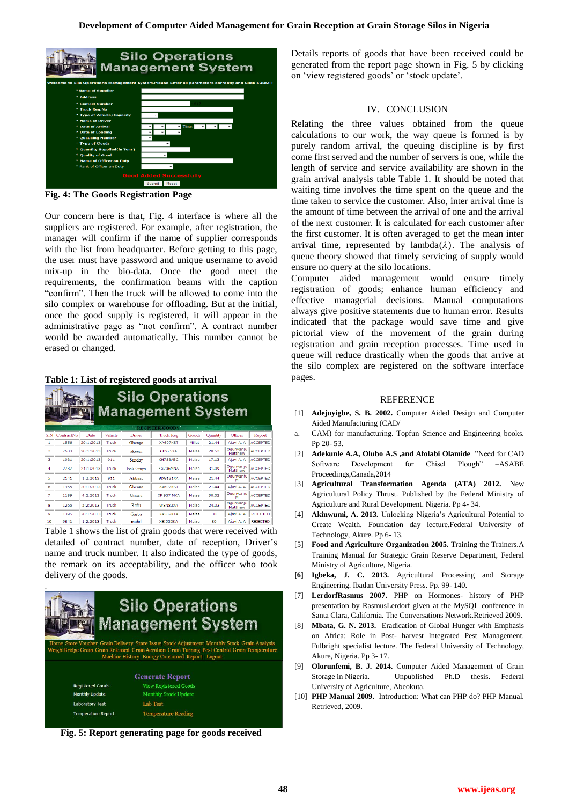

**Fig. 4: The Goods Registration Page**

Our concern here is that, Fig. 4 interface is where all the suppliers are registered. For example, after registration, the manager will confirm if the name of supplier corresponds with the list from headquarter. Before getting to this page, the user must have password and unique username to avoid mix-up in the bio-data. Once the good meet the requirements, the confirmation beams with the caption "confirm". Then the truck will be allowed to come into the silo complex or warehouse for offloading. But at the initial, once the good supply is registered, it will appear in the administrative page as "not confirm". A contract number would be awarded automatically. This number cannot be erased or changed.

### **Table 1: List of registered goods at arrival**

| <b>Silo Operations</b><br><b>Management System</b><br>a.<br><b>EXECISTER GOODS</b> |            |           |         |               |            |        |          |                      |                 |  |  |
|------------------------------------------------------------------------------------|------------|-----------|---------|---------------|------------|--------|----------|----------------------|-----------------|--|--|
| S.N                                                                                | ContractNo | Date      | Vehicle | Driver        | Truck Reg  | Goods  | Ouantity | Officer              | Report          |  |  |
| ٠                                                                                  | 1556       | 20:1:2013 | Truck   | Gbenga        | XA697KST   | Millet | 21.44    | Ajavi A, A           | <b>ACCEPTED</b> |  |  |
| $\overline{a}$                                                                     | 7603       | 20:1:2013 | Truck   | akeem         | GBY75XA    | Maize  | 20.52    | Ogunyanju<br>Matthew | <b>ACCEPTED</b> |  |  |
| $\overline{\mathbf{3}}$                                                            | 1931       | 20:1:2013 | 911     | Sunday        | XH783ABC   | Maize  | 17.13    | Ajayi A. A           | <b>ACCEPTED</b> |  |  |
| $\overline{a}$                                                                     | 2787       | 21:1:2013 | Truck   | Isak Gniva    | XG736MNA   | Maize  | 31.09    | Ogunyanju<br>Matthew | <b>ACCEPTED</b> |  |  |
| 5                                                                                  | 2141       | 1:2:2013  | 911     | <b>Abbass</b> | BDG131XA   | Maize  | 21.44    | Ogunyanju<br>м       | <b>ACCEPTED</b> |  |  |
| 6                                                                                  | 1965       | 20:1:2013 | Truck   | Gbenga        | XA697KST   | Maize  | 21.44    | Ajavi A, A           | <b>ACCEPTED</b> |  |  |
| ÷.                                                                                 | 1189       | 4:2:2013  | Truck   | Umaru         | XF 937 MKA | Maize  | 30.02    | Ogunyanju<br>м       | <b>ACCEPTED</b> |  |  |
| s                                                                                  | 1266       | 5:2:2013  | Truck   | Rafin         | WSN83XA    | Maize  | 24.03    | Ogunvanju<br>Matthew | <b>ACCEPTED</b> |  |  |
| ۰                                                                                  | 1395       | 20:1:2013 | Truck   | Garba         | XA582KTA   | Maize  | 30       | Ajavi A, A           | <b>REJECTED</b> |  |  |
| 10                                                                                 | 9841       | 1:2:2013  | Truck   | mohd          | XEI53DKA   | Maize  | 30       | Aiavi A. A           | <b>REJECTED</b> |  |  |

Table 1 shows the list of grain goods that were received with detailed of contract number, date of reception, Driver's name and truck number. It also indicated the type of goods, the remark on its acceptability, and the officer who took delivery of the goods.



**Fig. 5: Report generating page for goods received**

Details reports of goods that have been received could be generated from the report page shown in Fig. 5 by clicking on "view registered goods" or "stock update".

#### IV. CONCLUSION

Relating the three values obtained from the queue calculations to our work, the way queue is formed is by purely random arrival, the queuing discipline is by first come first served and the number of servers is one, while the length of service and service availability are shown in the grain arrival analysis table Table 1. It should be noted that waiting time involves the time spent on the queue and the time taken to service the customer. Also, inter arrival time is the amount of time between the arrival of one and the arrival of the next customer. It is calculated for each customer after the first customer. It is often averaged to get the mean inter arrival time, represented by lambda( $\lambda$ ). The analysis of queue theory showed that timely servicing of supply would ensure no query at the silo locations.

Computer aided management would ensure timely registration of goods; enhance human efficiency and effective managerial decisions. Manual computations always give positive statements due to human error. Results indicated that the package would save time and give pictorial view of the movement of the grain during registration and grain reception processes. Time used in queue will reduce drastically when the goods that arrive at the silo complex are registered on the software interface pages.

#### **REFERENCE**

- [1] **Adejuyigbe, S. B. 2002.** Computer Aided Design and Computer Aided Manufacturing (CAD/
- a. CAM) for manufacturing. Topfun Science and Engineering books. Pp 20- 53.
- [2] **Adekunle A.A, Olubo A.S ,and Afolabi Olamide** "Need for CAD Software Development for Chisel Plough" –ASABE Proceedings,Canada,2014
- [3] **Agricultural Transformation Agenda (ATA) 2012.** New Agricultural Policy Thrust. Published by the Federal Ministry of Agriculture and Rural Development. Nigeria. Pp 4- 34.
- [4] **Akinwumi, A. 2013.** Unlocking Nigeria"s Agricultural Potential to Create Wealth. Foundation day lecture.Federal University of Technology, Akure. Pp 6- 13.
- [5] **Food and Agriculture Organization 2005.** Training the Trainers.A Training Manual for Strategic Grain Reserve Department, Federal Ministry of Agriculture, Nigeria.
- **[6] Igbeka, J. C. 2013.** Agricultural Processing and Storage Engineering. Ibadan University Press. Pp. 99- 140.
- [7] **LerdorfRasmus 2007.** PHP on Hormones- history of PHP presentation by RasmusLerdorf given at the MySQL conference in Santa Clara, California. The Conversations Network.Retrieved 2009.
- [8] **Mbata, G. N. 2013.** Eradication of Global Hunger with Emphasis on Africa: Role in Post- harvest Integrated Pest Management. Fulbright specialist lecture. The Federal University of Technology, Akure, Nigeria. Pp 3- 17.
- [9] **Olorunfemi, B. J. 2014**. Computer Aided Management of Grain Storage in Nigeria. Unpublished Ph.D thesis. Federal University of Agriculture, Abeokuta.
- [10] **PHP Manual 2009.** Introduction: What can PHP do? PHP Manual. Retrieved, 2009.